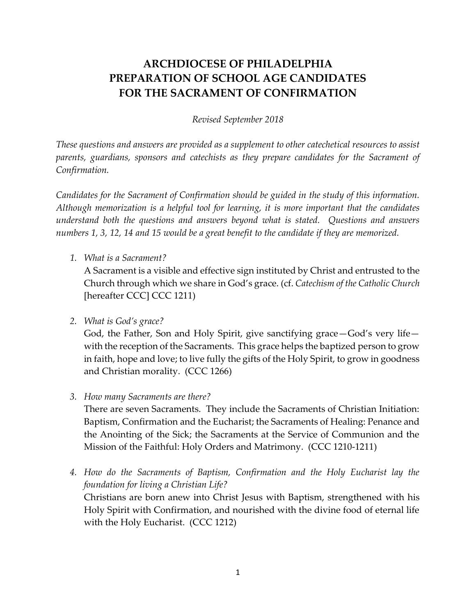## **ARCHDIOCESE OF PHILADELPHIA PREPARATION OF SCHOOL AGE CANDIDATES FOR THE SACRAMENT OF CONFIRMATION**

*Revised September 2018*

*These questions and answers are provided as a supplement to other catechetical resources to assist parents, guardians, sponsors and catechists as they prepare candidates for the Sacrament of Confirmation.*

*Candidates for the Sacrament of Confirmation should be guided in the study of this information. Although memorization is a helpful tool for learning, it is more important that the candidates understand both the questions and answers beyond what is stated. Questions and answers numbers 1, 3, 12, 14 and 15 would be a great benefit to the candidate if they are memorized.*

*1. What is a Sacrament?*

A Sacrament is a visible and effective sign instituted by Christ and entrusted to the Church through which we share in God's grace. (cf. *Catechism of the Catholic Church* [hereafter CCC] CCC 1211)

*2. What is God's grace?*

God, the Father, Son and Holy Spirit, give sanctifying grace—God's very life with the reception of the Sacraments. This grace helps the baptized person to grow in faith, hope and love; to live fully the gifts of the Holy Spirit, to grow in goodness and Christian morality. (CCC 1266)

*3. How many Sacraments are there?*

There are seven Sacraments. They include the Sacraments of Christian Initiation: Baptism, Confirmation and the Eucharist; the Sacraments of Healing: Penance and the Anointing of the Sick; the Sacraments at the Service of Communion and the Mission of the Faithful: Holy Orders and Matrimony. (CCC 1210-1211)

*4. How do the Sacraments of Baptism, Confirmation and the Holy Eucharist lay the foundation for living a Christian Life?*

Christians are born anew into Christ Jesus with Baptism, strengthened with his Holy Spirit with Confirmation, and nourished with the divine food of eternal life with the Holy Eucharist. (CCC 1212)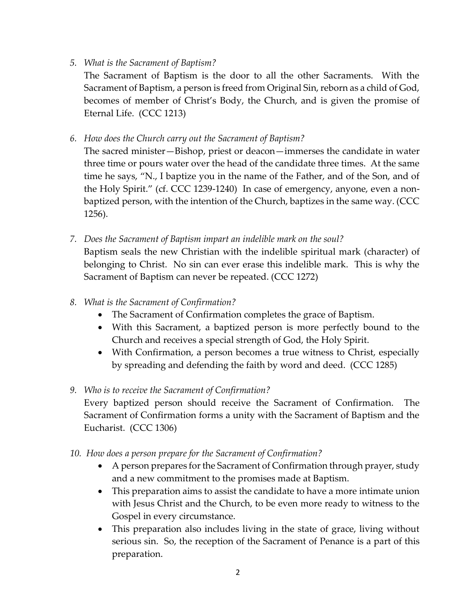*5. What is the Sacrament of Baptism?*

The Sacrament of Baptism is the door to all the other Sacraments. With the Sacrament of Baptism, a person is freed from Original Sin, reborn as a child of God, becomes of member of Christ's Body, the Church, and is given the promise of Eternal Life. (CCC 1213)

*6. How does the Church carry out the Sacrament of Baptism?*

The sacred minister—Bishop, priest or deacon—immerses the candidate in water three time or pours water over the head of the candidate three times. At the same time he says, "N., I baptize you in the name of the Father, and of the Son, and of the Holy Spirit." (cf. CCC 1239-1240) In case of emergency, anyone, even a nonbaptized person, with the intention of the Church, baptizes in the same way. (CCC 1256).

- *7. Does the Sacrament of Baptism impart an indelible mark on the soul?* Baptism seals the new Christian with the indelible spiritual mark (character) of belonging to Christ. No sin can ever erase this indelible mark. This is why the Sacrament of Baptism can never be repeated. (CCC 1272)
- *8. What is the Sacrament of Confirmation?*
	- The Sacrament of Confirmation completes the grace of Baptism.
	- With this Sacrament, a baptized person is more perfectly bound to the Church and receives a special strength of God, the Holy Spirit.
	- With Confirmation, a person becomes a true witness to Christ, especially by spreading and defending the faith by word and deed. (CCC 1285)
- *9. Who is to receive the Sacrament of Confirmation?*

Every baptized person should receive the Sacrament of Confirmation. The Sacrament of Confirmation forms a unity with the Sacrament of Baptism and the Eucharist. (CCC 1306)

- *10. How does a person prepare for the Sacrament of Confirmation?*
	- A person prepares for the Sacrament of Confirmation through prayer, study and a new commitment to the promises made at Baptism.
	- This preparation aims to assist the candidate to have a more intimate union with Jesus Christ and the Church, to be even more ready to witness to the Gospel in every circumstance.
	- This preparation also includes living in the state of grace, living without serious sin. So, the reception of the Sacrament of Penance is a part of this preparation.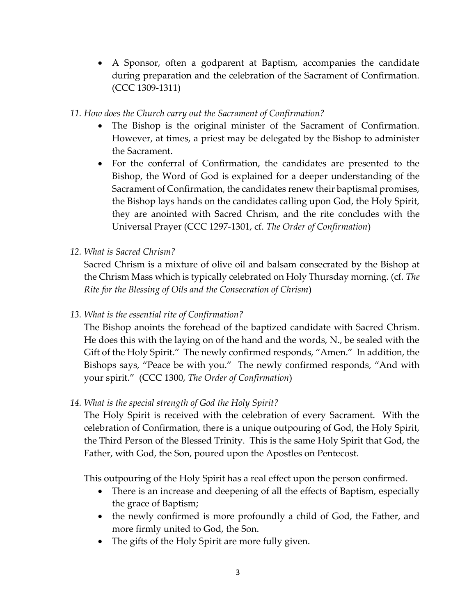- A Sponsor, often a godparent at Baptism, accompanies the candidate during preparation and the celebration of the Sacrament of Confirmation. (CCC 1309-1311)
- *11. How does the Church carry out the Sacrament of Confirmation?*
	- The Bishop is the original minister of the Sacrament of Confirmation. However, at times, a priest may be delegated by the Bishop to administer the Sacrament.
	- For the conferral of Confirmation, the candidates are presented to the Bishop, the Word of God is explained for a deeper understanding of the Sacrament of Confirmation, the candidates renew their baptismal promises, the Bishop lays hands on the candidates calling upon God, the Holy Spirit, they are anointed with Sacred Chrism, and the rite concludes with the Universal Prayer (CCC 1297-1301, cf. *The Order of Confirmation*)
- *12. What is Sacred Chrism?*

Sacred Chrism is a mixture of olive oil and balsam consecrated by the Bishop at the Chrism Mass which is typically celebrated on Holy Thursday morning. (cf. *The Rite for the Blessing of Oils and the Consecration of Chrism*)

*13. What is the essential rite of Confirmation?*

The Bishop anoints the forehead of the baptized candidate with Sacred Chrism. He does this with the laying on of the hand and the words, N., be sealed with the Gift of the Holy Spirit." The newly confirmed responds, "Amen." In addition, the Bishops says, "Peace be with you." The newly confirmed responds, "And with your spirit." (CCC 1300, *The Order of Confirmation*)

*14. What is the special strength of God the Holy Spirit?*

The Holy Spirit is received with the celebration of every Sacrament. With the celebration of Confirmation, there is a unique outpouring of God, the Holy Spirit, the Third Person of the Blessed Trinity. This is the same Holy Spirit that God, the Father, with God, the Son, poured upon the Apostles on Pentecost.

This outpouring of the Holy Spirit has a real effect upon the person confirmed.

- There is an increase and deepening of all the effects of Baptism, especially the grace of Baptism;
- the newly confirmed is more profoundly a child of God, the Father, and more firmly united to God, the Son.
- The gifts of the Holy Spirit are more fully given.